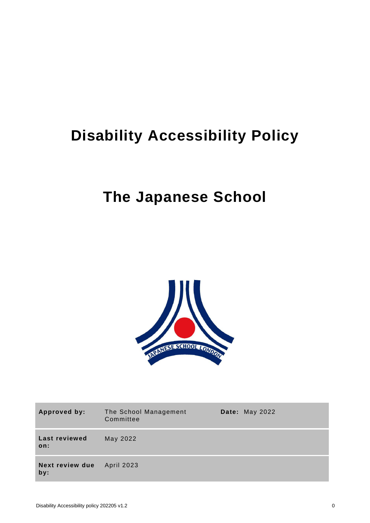## **Disability Accessibility Policy**

## **The Japanese School**



| Approved by:           | The School Management<br>Committee | <b>Date: May 2022</b> |
|------------------------|------------------------------------|-----------------------|
| Last reviewed<br>on:   | May 2022                           |                       |
| Next review due<br>by: | April 2023                         |                       |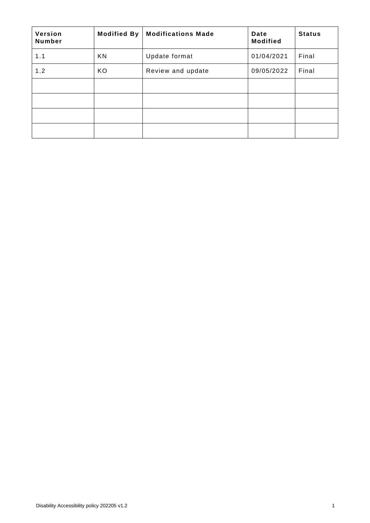| Version<br>Number | <b>Modified By</b> | <b>Modifications Made</b> | Date<br><b>Modified</b> | <b>Status</b> |
|-------------------|--------------------|---------------------------|-------------------------|---------------|
| 1.1               | KN                 | Update format             | 01/04/2021              | Final         |
| 1.2               | KO                 | Review and update         | 09/05/2022              | Final         |
|                   |                    |                           |                         |               |
|                   |                    |                           |                         |               |
|                   |                    |                           |                         |               |
|                   |                    |                           |                         |               |